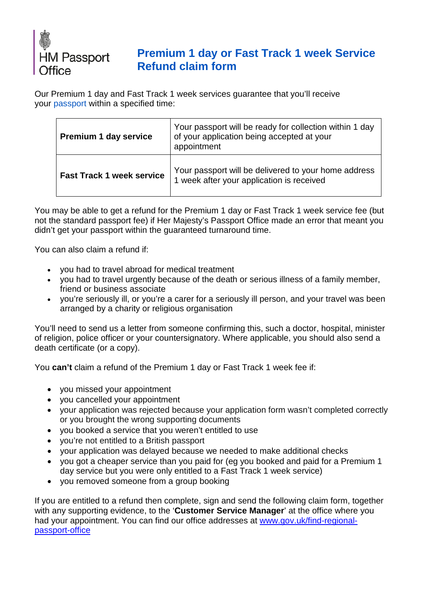

## **Premium 1 day or Fast Track 1 week Service [Refund claim form](https://deedpolloffice.com/change-name/who-to-tell/passport/premium-or-fast-track-refund)**

Our Premium 1 day and Fast Track 1 week services guarantee that you'll receive your [passport](https://deedpolloffice.com/change-name/who-to-tell/passport) within a specified time:

| <b>Premium 1 day service</b>     | Your passport will be ready for collection within 1 day<br>of your application being accepted at your<br>appointment |  |
|----------------------------------|----------------------------------------------------------------------------------------------------------------------|--|
| <b>Fast Track 1 week service</b> | Your passport will be delivered to your home address<br>1 week after your application is received                    |  |

You may be able to get a refund for the Premium 1 day or Fast Track 1 week service fee (but not the standard passport fee) if Her Majesty's Passport Office made an error that meant you didn't get your passport within the guaranteed turnaround time.

You can also claim a refund if:

- you had to travel abroad for medical treatment
- you had to travel urgently because of the death or serious illness of a family member, friend or business associate
- you're seriously ill, or you're a carer for a seriously ill person, and your travel was been arranged by a charity or religious organisation

You'll need to send us a letter from someone confirming this, such a doctor, hospital, minister of religion, police officer or your countersignatory. Where applicable, you should also send a death certificate (or a copy).

You **can't** claim a refund of the Premium 1 day or Fast Track 1 week fee if:

- you missed your appointment
- you cancelled your appointment
- your application was rejected because your application form wasn't completed correctly or you brought the wrong supporting documents
- you booked a service that you weren't entitled to use
- you're not entitled to a British passport
- your application was delayed because we needed to make additional checks
- you got a cheaper service than you paid for (eg you booked and paid for a Premium 1 day service but you were only entitled to a Fast Track 1 week service)
- you removed someone from a group booking

If you are entitled to a refund then complete, sign and send the following claim form, together with any supporting evidence, to the '**Customer Service Manager**' at the office where you had your appointment. You can find our office addresses at [www.gov.uk/find-regional](http://www.gov.uk/find-regional-passport-office)[passport-office](http://www.gov.uk/find-regional-passport-office)